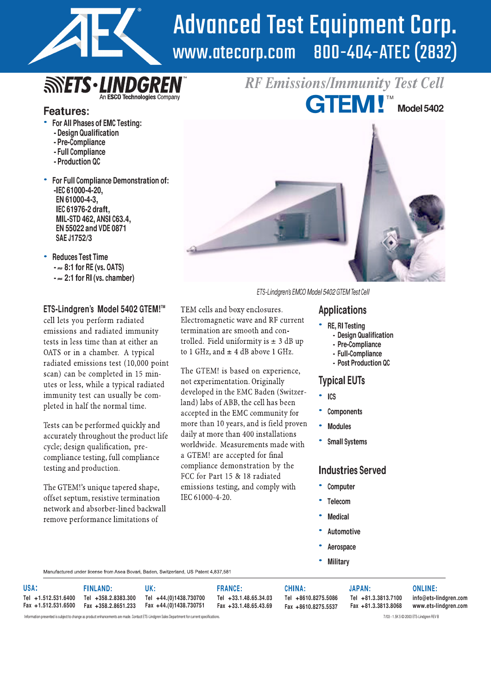

# Advanced Test Equipment Corp.<br>www.atecorp.com 800-404-ATEC (2832) 800-404-ATEC (2832)

*RF Emissions/Immunity Test Cell*

TM

**Model5402**

# **SINETS** - LINDGRE An ESCO Technologies Company

## **Features:**

- **For All Phases of EMC Testing:**
- **- Design Qualification**
- **- Pre-Compliance**
- **- Full Compliance**
- **- Production QC**
- **For Full Compliance Demonstration of: -IEC 61000-4-20, EN 61000-4-3, IEC 61976-2 draft, MIL-STD 462, ANSI C63.4, EN 55022 and VDE 0871 SAE J1752/3**
- **Reduces Test Time - 8:1 for RE (vs. OATS) - 2:1 for RI (vs. chamber)**

#### **ETS-Lindgren's Model 5402 GTEM!**

cell lets you perform radiated emissions and radiated immunity tests in less time than at either an OATS or in a chamber. A typical radiated emissions test (10,000 point scan) can be completed in 15 minutes or less, while a typical radiated immunity test can usually be completed in half the normal time.

Tests can be performed quickly and accurately throughout the product life cycle; design qualification, precompliance testing, full compliance testing and production.

The GTEM!'s unique tapered shape, offset septum, resistive termination network and absorber-lined backwall remove performance limitations of



ETS-Lindgren's EMCO Model 5402 GTEM Test Cell

# TEM cells and boxy enclosures.<br>
Electromagnetic wave and RF current

- **RE, RI Testing**
	- **- Design Qualification**
	- **- Pre-Compliance**
	- **- Full-Compliance**
	- **- Post Production QC**

# **Typical EUTs**

- **ICS**
- **Components**
- **Modules**
- **Small Systems**

#### **Industries Served**

- **Computer**
- **Telecom**
- **Medical**
- **Automotive**
- **Aerospace**
- **Military**

Manufactured under license from Asea Bovari, Baden, Switzerland, US Patent 4,837,581

| USA:                | <b>FINLAND:</b> | UK:                                                                  | <b>FRANCE:</b>        | CHINA:              | <b>JAPAN:</b>       | <b>ONLINE:</b>        |
|---------------------|-----------------|----------------------------------------------------------------------|-----------------------|---------------------|---------------------|-----------------------|
| Tel +1.512.531.6400 |                 | Tel +358.2.8383.300 Tel +44.(0)1438.730700                           | Tel +33.1.48.65.34.03 | Tel +8610.8275.5086 | Tel +81.3.3813.7100 | info@ets-lindgren.com |
|                     |                 | Fax +1.512.531.6500    Fax +358.2.8651.233    Fax +44.(0)1438.730751 | Fax +33.1.48.65.43.69 | Fax +8610.8275.5537 | Fax +81.3.3813.8068 | www.ets-lindgren.com  |

termination are smooth and controlled. Field uniformity is  $\pm$  3 dB up

to 1 GHz, and  $\pm$  4 dB above 1 GHz.

The GTEM! is based on experience,

developed in the EMC Baden (Switzer-

land) labs of ABB, the cell has been

accepted in the EMC community for more than 10 years, and is field proven

daily at more than 400 installations

compliance demonstration by the

a GTEM! are accepted for final

FCC for Part 15 & 18 radiated emissions testing, and comply with

IEC 61000-4-20.

worldwide. Measurements made with

not experimentation. Originally

Information presented is subject to change as product enhancements are made. Contact ETS-Lindgren Sales Department for current specifications. This security are all the subject to change a ground FEV B - 1.5K S © 2003 ETS-